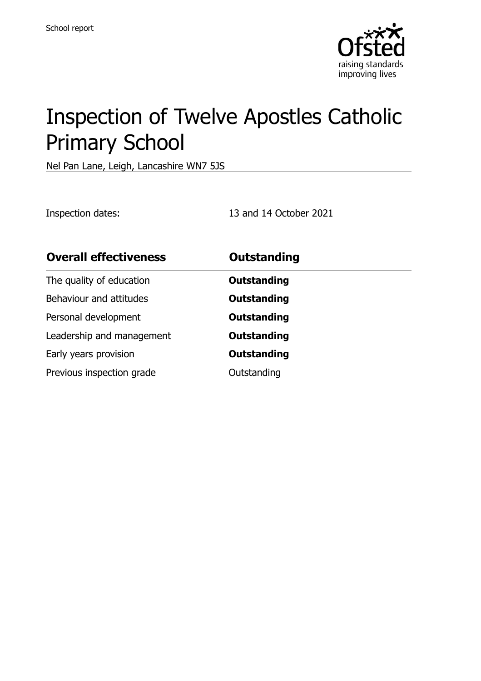

# Inspection of Twelve Apostles Catholic Primary School

Nel Pan Lane, Leigh, Lancashire WN7 5JS

Inspection dates: 13 and 14 October 2021

| <b>Overall effectiveness</b> | <b>Outstanding</b> |
|------------------------------|--------------------|
| The quality of education     | <b>Outstanding</b> |
| Behaviour and attitudes      | Outstanding        |
| Personal development         | <b>Outstanding</b> |
| Leadership and management    | Outstanding        |
| Early years provision        | Outstanding        |
| Previous inspection grade    | Outstanding        |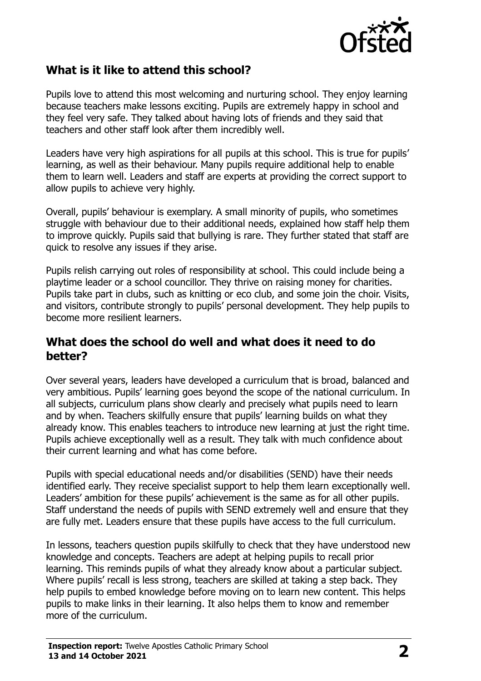

## **What is it like to attend this school?**

Pupils love to attend this most welcoming and nurturing school. They enjoy learning because teachers make lessons exciting. Pupils are extremely happy in school and they feel very safe. They talked about having lots of friends and they said that teachers and other staff look after them incredibly well.

Leaders have very high aspirations for all pupils at this school. This is true for pupils' learning, as well as their behaviour. Many pupils require additional help to enable them to learn well. Leaders and staff are experts at providing the correct support to allow pupils to achieve very highly.

Overall, pupils' behaviour is exemplary. A small minority of pupils, who sometimes struggle with behaviour due to their additional needs, explained how staff help them to improve quickly. Pupils said that bullying is rare. They further stated that staff are quick to resolve any issues if they arise.

Pupils relish carrying out roles of responsibility at school. This could include being a playtime leader or a school councillor. They thrive on raising money for charities. Pupils take part in clubs, such as knitting or eco club, and some join the choir. Visits, and visitors, contribute strongly to pupils' personal development. They help pupils to become more resilient learners.

#### **What does the school do well and what does it need to do better?**

Over several years, leaders have developed a curriculum that is broad, balanced and very ambitious. Pupils' learning goes beyond the scope of the national curriculum. In all subjects, curriculum plans show clearly and precisely what pupils need to learn and by when. Teachers skilfully ensure that pupils' learning builds on what they already know. This enables teachers to introduce new learning at just the right time. Pupils achieve exceptionally well as a result. They talk with much confidence about their current learning and what has come before.

Pupils with special educational needs and/or disabilities (SEND) have their needs identified early. They receive specialist support to help them learn exceptionally well. Leaders' ambition for these pupils' achievement is the same as for all other pupils. Staff understand the needs of pupils with SEND extremely well and ensure that they are fully met. Leaders ensure that these pupils have access to the full curriculum.

In lessons, teachers question pupils skilfully to check that they have understood new knowledge and concepts. Teachers are adept at helping pupils to recall prior learning. This reminds pupils of what they already know about a particular subject. Where pupils' recall is less strong, teachers are skilled at taking a step back. They help pupils to embed knowledge before moving on to learn new content. This helps pupils to make links in their learning. It also helps them to know and remember more of the curriculum.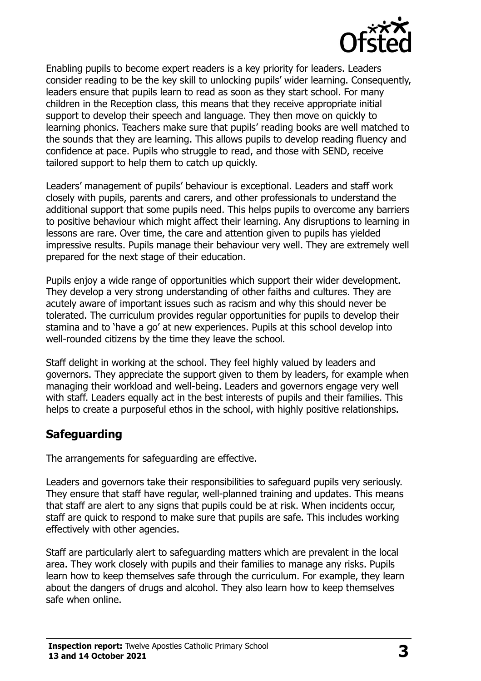

Enabling pupils to become expert readers is a key priority for leaders. Leaders consider reading to be the key skill to unlocking pupils' wider learning. Consequently, leaders ensure that pupils learn to read as soon as they start school. For many children in the Reception class, this means that they receive appropriate initial support to develop their speech and language. They then move on quickly to learning phonics. Teachers make sure that pupils' reading books are well matched to the sounds that they are learning. This allows pupils to develop reading fluency and confidence at pace. Pupils who struggle to read, and those with SEND, receive tailored support to help them to catch up quickly.

Leaders' management of pupils' behaviour is exceptional. Leaders and staff work closely with pupils, parents and carers, and other professionals to understand the additional support that some pupils need. This helps pupils to overcome any barriers to positive behaviour which might affect their learning. Any disruptions to learning in lessons are rare. Over time, the care and attention given to pupils has yielded impressive results. Pupils manage their behaviour very well. They are extremely well prepared for the next stage of their education.

Pupils enjoy a wide range of opportunities which support their wider development. They develop a very strong understanding of other faiths and cultures. They are acutely aware of important issues such as racism and why this should never be tolerated. The curriculum provides regular opportunities for pupils to develop their stamina and to 'have a go' at new experiences. Pupils at this school develop into well-rounded citizens by the time they leave the school.

Staff delight in working at the school. They feel highly valued by leaders and governors. They appreciate the support given to them by leaders, for example when managing their workload and well-being. Leaders and governors engage very well with staff. Leaders equally act in the best interests of pupils and their families. This helps to create a purposeful ethos in the school, with highly positive relationships.

## **Safeguarding**

The arrangements for safeguarding are effective.

Leaders and governors take their responsibilities to safeguard pupils very seriously. They ensure that staff have regular, well-planned training and updates. This means that staff are alert to any signs that pupils could be at risk. When incidents occur, staff are quick to respond to make sure that pupils are safe. This includes working effectively with other agencies.

Staff are particularly alert to safeguarding matters which are prevalent in the local area. They work closely with pupils and their families to manage any risks. Pupils learn how to keep themselves safe through the curriculum. For example, they learn about the dangers of drugs and alcohol. They also learn how to keep themselves safe when online.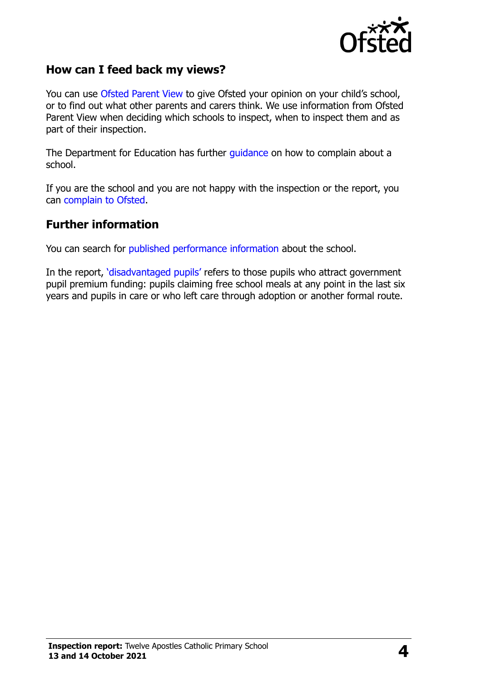

### **How can I feed back my views?**

You can use [Ofsted Parent View](http://parentview.ofsted.gov.uk/) to give Ofsted your opinion on your child's school, or to find out what other parents and carers think. We use information from Ofsted Parent View when deciding which schools to inspect, when to inspect them and as part of their inspection.

The Department for Education has further [guidance](http://www.gov.uk/complain-about-school) on how to complain about a school.

If you are the school and you are not happy with the inspection or the report, you can [complain to Ofsted.](http://www.gov.uk/complain-ofsted-report)

#### **Further information**

You can search for [published performance information](http://www.compare-school-performance.service.gov.uk/) about the school.

In the report, '[disadvantaged pupils](http://www.gov.uk/guidance/pupil-premium-information-for-schools-and-alternative-provision-settings)' refers to those pupils who attract government pupil premium funding: pupils claiming free school meals at any point in the last six years and pupils in care or who left care through adoption or another formal route.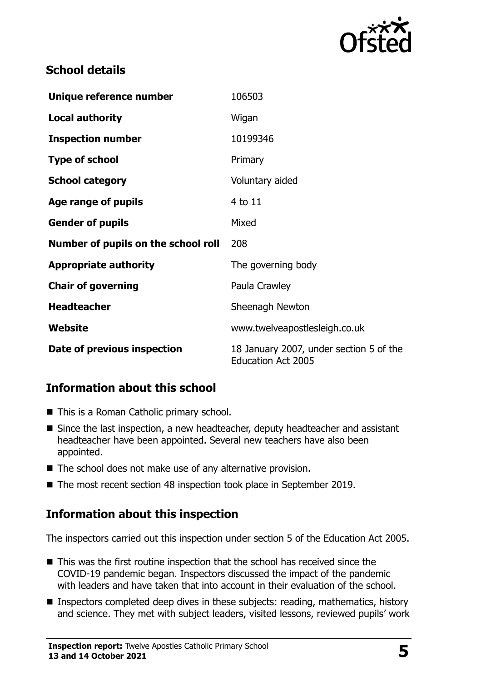

## **School details**

| Unique reference number             | 106503                                                               |
|-------------------------------------|----------------------------------------------------------------------|
| <b>Local authority</b>              | Wigan                                                                |
| <b>Inspection number</b>            | 10199346                                                             |
| <b>Type of school</b>               | Primary                                                              |
| <b>School category</b>              | Voluntary aided                                                      |
| Age range of pupils                 | 4 to 11                                                              |
| <b>Gender of pupils</b>             | Mixed                                                                |
| Number of pupils on the school roll | 208                                                                  |
| <b>Appropriate authority</b>        | The governing body                                                   |
| <b>Chair of governing</b>           | Paula Crawley                                                        |
| <b>Headteacher</b>                  | Sheenagh Newton                                                      |
| Website                             | www.twelveapostlesleigh.co.uk                                        |
| Date of previous inspection         | 18 January 2007, under section 5 of the<br><b>Education Act 2005</b> |

## **Information about this school**

- This is a Roman Catholic primary school.
- Since the last inspection, a new headteacher, deputy headteacher and assistant headteacher have been appointed. Several new teachers have also been appointed.
- The school does not make use of any alternative provision.
- The most recent section 48 inspection took place in September 2019.

## **Information about this inspection**

The inspectors carried out this inspection under section 5 of the Education Act 2005.

- This was the first routine inspection that the school has received since the COVID-19 pandemic began. Inspectors discussed the impact of the pandemic with leaders and have taken that into account in their evaluation of the school.
- **Inspectors completed deep dives in these subjects: reading, mathematics, history** and science. They met with subject leaders, visited lessons, reviewed pupils' work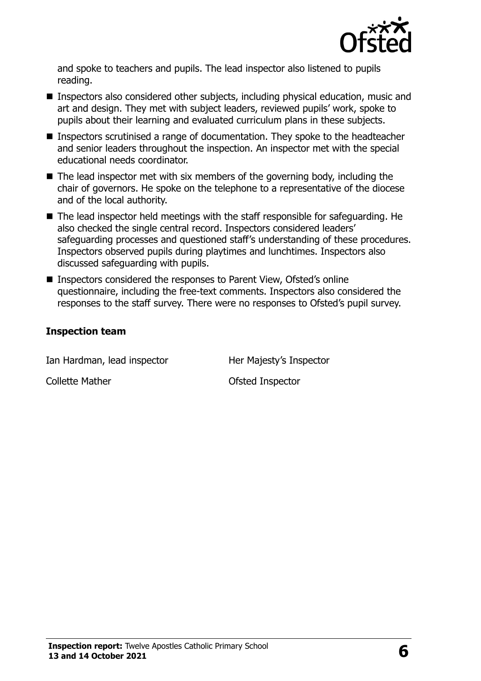

and spoke to teachers and pupils. The lead inspector also listened to pupils reading.

- Inspectors also considered other subjects, including physical education, music and art and design. They met with subject leaders, reviewed pupils' work, spoke to pupils about their learning and evaluated curriculum plans in these subjects.
- Inspectors scrutinised a range of documentation. They spoke to the headteacher and senior leaders throughout the inspection. An inspector met with the special educational needs coordinator.
- $\blacksquare$  The lead inspector met with six members of the governing body, including the chair of governors. He spoke on the telephone to a representative of the diocese and of the local authority.
- The lead inspector held meetings with the staff responsible for safeguarding. He also checked the single central record. Inspectors considered leaders' safeguarding processes and questioned staff's understanding of these procedures. Inspectors observed pupils during playtimes and lunchtimes. Inspectors also discussed safeguarding with pupils.
- Inspectors considered the responses to Parent View, Ofsted's online questionnaire, including the free-text comments. Inspectors also considered the responses to the staff survey. There were no responses to Ofsted's pupil survey.

#### **Inspection team**

Ian Hardman, lead inspector Her Majesty's Inspector Collette Mather **Collette Mather** Collette Mather